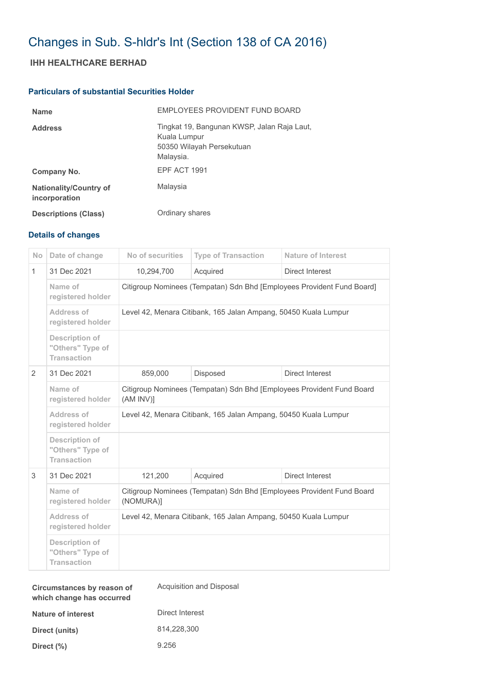# Changes in Sub. S-hldr's Int (Section 138 of CA 2016)

## **IHH HEALTHCARE BERHAD**

### **Particulars of substantial Securities Holder**

| <b>Name</b>                                    | EMPLOYEES PROVIDENT FUND BOARD                                                                        |
|------------------------------------------------|-------------------------------------------------------------------------------------------------------|
| <b>Address</b>                                 | Tingkat 19, Bangunan KWSP, Jalan Raja Laut,<br>Kuala Lumpur<br>50350 Wilayah Persekutuan<br>Malaysia. |
| Company No.                                    | EPF ACT 1991                                                                                          |
| <b>Nationality/Country of</b><br>incorporation | Malaysia                                                                                              |
| <b>Descriptions (Class)</b>                    | Ordinary shares                                                                                       |

### **Details of changes**

| <b>No</b>    | Date of change                                                  | No of securities                                                                   | <b>Type of Transaction</b> | Nature of Interest     |  |
|--------------|-----------------------------------------------------------------|------------------------------------------------------------------------------------|----------------------------|------------------------|--|
| $\mathbf{1}$ | 31 Dec 2021                                                     | 10,294,700                                                                         | Acquired                   | Direct Interest        |  |
|              | Name of<br>registered holder                                    | Citigroup Nominees (Tempatan) Sdn Bhd [Employees Provident Fund Board]             |                            |                        |  |
|              | Address of<br>registered holder                                 | Level 42, Menara Citibank, 165 Jalan Ampang, 50450 Kuala Lumpur                    |                            |                        |  |
|              | <b>Description of</b><br>"Others" Type of<br><b>Transaction</b> |                                                                                    |                            |                        |  |
| 2            | 31 Dec 2021                                                     | 859,000                                                                            | Disposed                   | Direct Interest        |  |
|              | Name of<br>registered holder                                    | Citigroup Nominees (Tempatan) Sdn Bhd [Employees Provident Fund Board<br>(AM INV)] |                            |                        |  |
|              | Address of<br>registered holder                                 | Level 42, Menara Citibank, 165 Jalan Ampang, 50450 Kuala Lumpur                    |                            |                        |  |
|              | <b>Description of</b><br>"Others" Type of<br><b>Transaction</b> |                                                                                    |                            |                        |  |
| 3            | 31 Dec 2021                                                     | 121,200                                                                            | Acquired                   | <b>Direct Interest</b> |  |
|              | Name of<br>registered holder                                    | Citigroup Nominees (Tempatan) Sdn Bhd [Employees Provident Fund Board<br>(NOMURA)] |                            |                        |  |
|              | Address of<br>registered holder                                 | Level 42, Menara Citibank, 165 Jalan Ampang, 50450 Kuala Lumpur                    |                            |                        |  |
|              | <b>Description of</b><br>"Others" Type of<br><b>Transaction</b> |                                                                                    |                            |                        |  |

| Circumstances by reason of<br>which change has occurred | Acquisition and Disposal |
|---------------------------------------------------------|--------------------------|
| Nature of interest                                      | Direct Interest          |
| Direct (units)                                          | 814.228.300              |
| Direct $(\%)$                                           | 9.256                    |